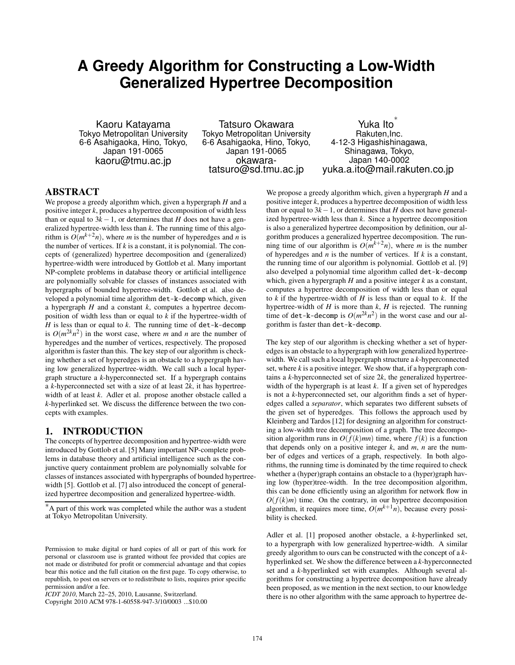# **A Greedy Algorithm for Constructing a Low-Width Generalized Hypertree Decomposition**

Kaoru Katayama Tokyo Metropolitan University 6-6 Asahigaoka, Hino, Tokyo, Japan 191-0065 kaoru@tmu.ac.jp

Tatsuro Okawara Tokyo Metropolitan University 6-6 Asahigaoka, Hino, Tokyo, Japan 191-0065 okawaratatsuro@sd.tmu.ac.jp

Yuka Ito Rakuten,Inc. 4-12-3 Higashishinagawa, Shinagawa, Tokyo, Japan 140-0002 yuka.a.ito@mail.rakuten.co.jp

# ABSTRACT

We propose a greedy algorithm which, given a hypergraph *H* and a positive integer *k*, produces a hypertree decomposition of width less than or equal to  $3k - 1$ , or determines that *H* does not have a generalized hypertree-width less than *k*. The running time of this algorithm is  $O(m^{k+2}n)$ , where *m* is the number of hyperedges and *n* is the number of vertices. If  $k$  is a constant, it is polynomial. The concepts of (generalized) hypertree decomposition and (generalized) hypertree-width were introduced by Gottlob et al. Many important NP-complete problems in database theory or artificial intelligence are polynomially solvable for classes of instances associated with hypergraphs of bounded hypertree-width. Gottlob et al. also developed a polynomial time algorithm det-k-decomp which, given a hypergraph *H* and a constant *k*, computes a hypertree decomposition of width less than or equal to *k* if the hypertree-width of *H* is less than or equal to *k*. The running time of det-k-decomp is  $O(m^{2k}n^2)$  in the worst case, where *m* and *n* are the number of hyperedges and the number of vertices, respectively. The proposed algorithm is faster than this. The key step of our algorithm is checking whether a set of hyperedges is an obstacle to a hypergraph having low generalized hypertree-width. We call such a local hypergraph structure a *k*-hyperconnected set. If a hypergraph contains a *k*-hyperconnected set with a size of at least 2*k*, it has hypertreewidth of at least *k*. Adler et al. propose another obstacle called a *k*-hyperlinked set. We discuss the difference between the two concepts with examples.

## 1. INTRODUCTION

The concepts of hypertree decomposition and hypertree-width were introduced by Gottlob et al. [5] Many important NP-complete problems in database theory and artificial intelligence such as the conjunctive query containment problem are polynomially solvable for classes of instances associated with hypergraphs of bounded hypertreewidth [5]. Gottlob et al. [7] also introduced the concept of generalized hypertree decomposition and generalized hypertree-width.

We propose a greedy algorithm which, given a hypergraph *H* and a positive integer *k*, produces a hypertree decomposition of width less than or equal to  $3k-1$ , or determines that *H* does not have generalized hypertree-width less than *k*. Since a hypertree decomposition is also a generalized hypertree decomposition by definition, our algorithm produces a generalized hypertree decomposition. The running time of our algorithm is  $O(m^{k+2}n)$ , where *m* is the number of hyperedges and *n* is the number of vertices. If *k* is a constant, the running time of our algorithm is polynomial. Gottlob et al. [9] also develped a polynomial time algorithm called det-k-decomp which, given a hypergraph *H* and a positive integer *k* as a constant, computes a hypertree decomposition of width less than or equal to *k* if the hypertree-width of *H* is less than or equal to *k*. If the hypertree-width of *H* is more than *k*, *H* is rejected. The running time of det-k-decomp is  $O(m^{2k}n^2)$  in the worst case and our algorithm is faster than det-k-decomp.

The key step of our algorithm is checking whether a set of hyperedges is an obstacle to a hypergraph with low generalized hypertreewidth. We call such a local hypergraph structure a *k*-hyperconnected set, where  $k$  is a positive integer. We show that, if a hypergraph contains a *k*-hyperconnected set of size 2*k*, the generalized hypertreewidth of the hypergraph is at least *k*. If a given set of hyperedges is not a *k*-hyperconnected set, our algorithm finds a set of hyperedges called a *separator*, which separates two different subsets of the given set of hyperedges. This follows the approach used by Kleinberg and Tardos [12] for designing an algorithm for constructing a low-width tree decomposition of a graph. The tree decomposition algorithm runs in  $O(f(k)mn)$  time, where  $f(k)$  is a function that depends only on a positive integer  $k$ , and  $m$ ,  $n$  are the number of edges and vertices of a graph, respectively. In both algorithms, the running time is dominated by the time required to check whether a (hyper)graph contains an obstacle to a (hyper)graph having low (hyper)tree-width. In the tree decomposition algorithm, this can be done efficiently using an algorithm for network flow in  $O(f(k)m)$  time. On the contrary, in our hypertree decomposition algorithm, it requires more time,  $O(m^{k+1}n)$ , because every possibility is checked.

Adler et al. [1] proposed another obstacle, a *k*-hyperlinked set, to a hypergraph with low generalized hypertree-width. A similar greedy algorithm to ours can be constructed with the concept of a *k*hyperlinked set. We show the difference between a *k*-hyperconnected set and a *k*-hyperlinked set with examples. Although several algorithms for constructing a hypertree decomposition have already been proposed, as we mention in the next section, to our knowledge there is no other algorithm with the same approach to hypertree de-

<sup>∗</sup>A part of this work was completed while the author was a student at Tokyo Metropolitan University.

Permission to make digital or hard copies of all or part of this work for personal or classroom use is granted without fee provided that copies are not made or distributed for profit or commercial advantage and that copies bear this notice and the full citation on the first page. To copy otherwise, to republish, to post on servers or to redistribute to lists, requires prior specific permission and/or a fee.

*ICDT 2010*, March 22–25, 2010, Lausanne, Switzerland.

Copyright 2010 ACM 978-1-60558-947-3/10/0003 ...\$10.00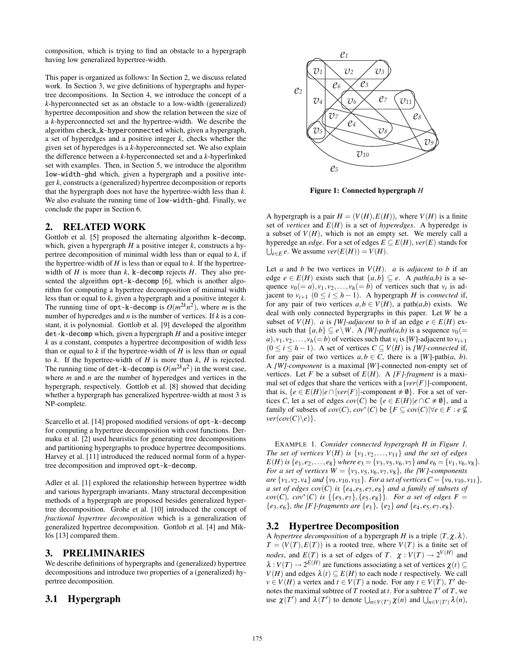composition, which is trying to find an obstacle to a hypergraph having low generalized hypertree-width.

This paper is organized as follows: In Section 2, we discuss related work. In Section 3, we give definitions of hypergraphs and hypertree decompositions. In Section 4, we introduce the concept of a *k*-hyperconnected set as an obstacle to a low-width (generalized) hypertree decomposition and show the relation between the size of a *k*-hyperconnected set and the hypertree-width. We describe the algorithm check\_k-hyperconnected which, given a hypergraph, a set of hyperedges and a positive integer *k*, checks whether the given set of hyperedges is a *k*-hyperconnected set. We also explain the difference between a *k*-hyperconnected set and a *k*-hyperlinked set with examples. Then, in Section 5, we introduce the algorithm low-width-ghd which, given a hypergraph and a positive integer *k*, constructs a (generalized) hypertree decomposition or reports that the hypergraph does not have the hypertree-width less than *k*. We also evaluate the running time of  $low-width-ghd$ . Finally, we conclude the paper in Section 6.

#### 2. RELATED WORK

Gottlob et al. [5] proposed the alternating algorithm k-decomp, which, given a hypergraph *H* a positive integer *k*, constructs a hypertree decomposition of minimal width less than or equal to *k*, if the hypertree-width of  $H$  is less than or equal to  $k$ . If the hypertreewidth of *H* is more than *k*, k-decomp rejects *H*. They also presented the algorithm opt-k-decomp [6], which is another algorithm for computing a hypertree decomposition of minimal width less than or equal to *k*, given a hypergraph and a positive integer *k*. The running time of  $opt-k-decomp$  is  $O(m^{2k}n^2)$ , where *m* is the number of hyperedges and *n* is the number of vertices. If *k* is a constant, it is polynomial. Gottlob et al. [9] developed the algorithm det-k-decomp which, given a hypergraph *H* and a positive integer *k* as a constant, computes a hypertree decomposition of width less than or equal to  $k$  if the hypertree-width of  $H$  is less than or equal to  $k$ . If the hypertree-width of  $H$  is more than  $k$ ,  $H$  is rejected. The running time of det-k-decomp is  $O(m^{2k}n^2)$  in the worst case, where *m* and *n* are the number of hyperedges and vertices in the hypergraph, respectively. Gottlob et al. [8] showed that deciding whether a hypergraph has generalized hypertree-width at most 3 is NP-complete.

Scarcello et al. [14] proposed modified versions of opt-k-decomp for computing a hypertree decomposition with cost functions. Dermaku et al. [2] used heuristics for generating tree decompositions and partitioning hypergraphs to produce hypertree decompositions. Harvey et al. [11] introduced the reduced normal form of a hypertree decomposition and improved opt-k-decomp.

Adler et al. [1] explored the relationship between hypertree width and various hypergraph invariants. Many structural decomposition methods of a hypergraph are proposed besides generalized hypertree decomposition. Grohe et al. [10] introduced the concept of *fractional hypertree decomposition* which is a generalization of generalized hypertree decomposition. Gottlob et al. [4] and Miklós [13] compared them.

## 3. PRELIMINARIES

We describe definitions of hypergraphs and (generalized) hypertree decompositions and introduce two properties of a (generalized) hypertree decomposition.

# 3.1 Hypergraph



Figure 1: Connected hypergraph *H*

A hypergraph is a pair  $H = (V(H), E(H))$ , where  $V(H)$  is a finite set of *vertices* and  $E(H)$  is a set of *hyperedges*. A hyperedge is a subset of  $V(H)$ , which is not an empty set. We merely call a hyperedge an *edge*. For a set of edges  $E \subseteq E(H)$ ,  $ver(E)$  stands for  $\bigcup_{e \in E} e$ . We assume  $ver(E(H)) = V(H)$ .

Let *a* and *b* be two vertices in  $V(H)$ . *a* is *adjacent* to *b* if an edge  $e \in E(H)$  exists such that  $\{a,b\} \subseteq e$ . A *path(a,b)* is a sequence  $v_0(= a)$ ,  $v_1$ ,  $v_2$ , ...,  $v_h(= b)$  of vertices such that  $v_i$  is adjacent to  $v_{i+1}$  ( $0 \le i \le h-1$ ). A hypergraph *H* is *connected* if, for any pair of two vertices  $a, b \in V(H)$ , a path $(a,b)$  exists. We deal with only connected hypergraphs in this paper. Let *W* be a subset of *V*(*H*). *a* is *[W]-adjacent* to *b* if an edge  $e \in E(H)$  exists such that  $\{a,b\} \subseteq e \setminus W$ . A *[W]-path(a,b)* is a sequence  $v_0(=$  $a)$ ,  $v_1$ ,  $v_2$ ,...,  $v_h (= b)$  of vertices such that  $v_i$  is [*W*]-adjacent to  $v_{i+1}$ (0 ≤ *i* ≤ *h* − 1). A set of vertices  $C ⊆ V(H)$  is *[W]-connected* if, for any pair of two vertices  $a, b \in C$ , there is a [W]-path(*a*, *b*). A *[W]-component* is a maximal [*W*]-connected non-empty set of vertices. Let *F* be a subset of  $E(H)$ . A *[F]-fragment* is a maximal set of edges that share the vertices with a  $[ver(F)]$ -component, that is,  $\{e \in E(H)|e \cap [ver(F)]$ -component  $\neq \emptyset\}$ . For a set of vertices *C*, let a set of edges  $cov(C)$  be  $\{e \in E(H)| e \cap C \neq \emptyset\}$ , and a family of subsets of  $cov(C)$ ,  $cov^*(C)$  be  $\{F \subseteq cov(C) | \forall e \in F : e \nsubseteq$  $ver(cov(C)\e)$ .

EXAMPLE 1. *Consider connected hypergraph H in Figure 1. The set of vertices*  $V(H)$  *is*  $\{v_1, v_2, \ldots, v_{11}\}$  *and the set of edges*  $E(H)$  is  $\{e_1, e_2, \ldots, e_8\}$  where  $e_3 = \{v_3, v_5, v_6, v_7\}$  and  $e_6 = \{v_1, v_6, v_8\}.$ *For a set of vertices*  $W = \{v_3, v_5, v_6, v_7, v_8\}$ *, the [W]-components are*  $\{v_1, v_2, v_4\}$  *and*  $\{v_9, v_{10}, v_{11}\}$ *. For a set of vertices*  $C = \{v_9, v_{10}, v_{11}\}$ *, a set of edges*  $cov(C)$  *<i>is*  $\{e_4, e_5, e_7, e_8\}$  *and a family of subsets of cov*(*C*)*, cov*<sup>\*</sup>(*C*) *is* {{ $e_5, e_7$ },{ $e_5, e_8$ }}*. For a set of edges F* =  ${e_3, e_6}$ *, the [F]-fragments are*  ${e_1}$ *,*  ${e_2}$  *and*  ${e_4, e_5, e_7, e_8}$ *.* 

## 3.2 Hypertree Decomposition

A *hypertree decomposition* of a hypergraph *H* is a triple  $\langle T, \chi, \lambda \rangle$ .  $T = (V(T), E(T))$  is a rooted tree, where  $V(T)$  is a finite set of *nodes*, and  $E(T)$  is a set of edges of *T*.  $\chi : V(T) \rightarrow 2^{V(H)}$  and  $\lambda: V(T) \to 2^{E(H)}$  are functions associating a set of vertices  $\chi(t) \subseteq$ *V*(*H*) and edges  $\lambda(t) \subseteq E(H)$  to each node *t* respectively. We call *v* ∈ *V*(*H*) a vertex and *t* ∈ *V*(*T*) a node. For any *t* ∈ *V*(*T*), *T<sup>t</sup>* denotes the maximal subtree of  $T$  rooted at  $t$ . For a subtree  $T'$  of  $T$ , we use  $\chi(T')$  and  $\lambda(T')$  to denote  $\bigcup_{n \in V(T')} \chi(n)$  and  $\bigcup_{n \in V(T')} \lambda(n)$ ,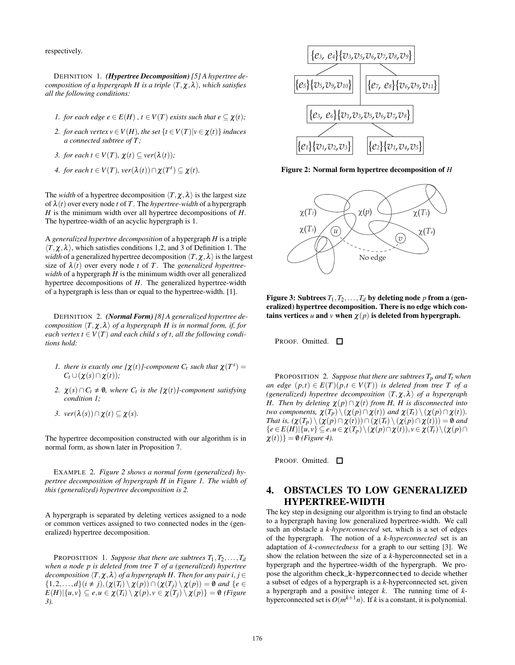respectively.

DEFINITION 1. *(Hypertree Decomposition) [5] A hypertree decomposition of a hypergraph H is a triple*  $\langle T, \chi, \lambda \rangle$ *, which satisfies all the following conditions:*

- *1. for each edge e*  $\in E(H)$ ,  $t \in V(T)$  *exists such that e*  $\subseteq \chi(t)$ *;*
- *2. for each vertex*  $v \in V(H)$ *, the set*  $\{t \in V(T)| v \in \chi(t)\}$  *induces a connected subtree of T ;*
- *3. for each t*  $\in V(T)$ *,*  $\chi(t) \subseteq \text{ver}(\lambda(t))$ *;*
- *4. for each t*  $\in V(T)$ *, ver* $(\lambda(t)) \cap \chi(T^t) \subseteq \chi(t)$ *.*

The *width* of a hypertree decomposition  $\langle T, \chi, \lambda \rangle$  is the largest size of λ(*t*) over every node *t* of *T*. The *hypertree-width* of a hypergraph *H* is the minimum width over all hypertree decompositions of *H*. The hypertree-width of an acyclic hypergraph is 1.

A *generalized hypertree decomposition* of a hypergraph *H* is a triple  $\langle T, \chi, \lambda \rangle$ , which satisfies conditions 1,2, and 3 of Definition 1. The *width* of a generalized hypertree decomposition  $\langle T, \chi, \lambda \rangle$  is the largest size of  $\lambda(t)$  over every node *t* of *T*. The *generalized hypertreewidth* of a hypergraph *H* is the minimum width over all generalized hypertree decompositions of *H*. The generalized hypertree-width of a hypergraph is less than or equal to the hypertree-width. [1].

DEFINITION 2. *(Normal Form)[8] A generalized hypertree decomposition*  $\langle T, \chi, \lambda \rangle$  *of a hypergraph H is in normal form, if, for each vertex*  $t \in V(T)$  *and each child s of t, all the following conditions hold:*

- *1. there is exactly one*  $[\chi(t)]$ -component  $C_t$  *such that*  $\chi(T^s)$  =  $C_t \cup (\chi(s) \cap \chi(t))$ ;
- 2.  $\chi(s) \cap C_t \neq \emptyset$ , where  $C_t$  *is the* [ $\chi(t)$ *]-component satisfying condition 1;*
- *3. ver*( $λ(s)$ ) ∩  $χ(t)$  ⊆  $χ(s)$ *.*

The hypertree decomposition constructed with our algorithm is in normal form, as shown later in Proposition 7.

EXAMPLE 2. *Figure 2 shows a normal form (generalized) hypertree decomposition of hypergraph H in Figure 1. The width of this (generalized) hypertree decomposition is 2.*

A hypergraph is separated by deleting vertices assigned to a node or common vertices assigned to two connected nodes in the (generalized) hypertree decomposition.

PROPOSITION 1. *Suppose that there are subtrees*  $T_1, T_2, \ldots, T_d$ *when a node p is deleted from tree T of a (generalized) hypertree decomposition*  $\langle T, \chi, \lambda \rangle$  *of a hypergraph H. Then for any pair i, j* ∈  $\{1,2,\ldots,d\}$   $(i \neq j)$  ,  $(\chi(T_i) \setminus \chi(p)) \cap (\chi(T_j) \setminus \chi(p)) = \emptyset$  and  $\{e \in \chi(p)\}$  $E(H)|\{u, v\} \subseteq e, u \in \chi(T_i) \setminus \chi(p), v \in \chi(T_j) \setminus \chi(p)\} = \emptyset$  (Figure *3).*



Figure 2: Normal form hypertree decomposition of *H*



Figure 3: Subtrees  $T_1, T_2, \ldots, T_d$  by deleting node *p* from a (generalized) hypertree decomposition. There is no edge which contains vertices *u* and *v* when  $\chi(p)$  is deleted from hypergraph.

PROOF. Omitted. П

PROPOSITION 2. *Suppose that there are subtrees*  $T_p$  *and*  $T_t$  *when an edge*  $(p,t) \in E(T)(p,t \in V(T))$  *is deleted from tree T of a (generalized)* hypertree decomposition  $\langle T, \chi, \lambda \rangle$  of a hypergraph *H. Then by deleting*  $\chi(p) \cap \chi(t)$  *from H, H is disconnected into two components,*  $\chi(T_p) \setminus (\chi(p) \cap \chi(t))$  *and*  $\chi(T_t) \setminus (\chi(p) \cap \chi(t))$ *. That is,*  $(\chi(T_p) \setminus (\chi(p) \cap \chi(t))) \cap (\chi(T_t) \setminus (\chi(p) \cap \chi(t))) = \emptyset$  and  ${e \in E(H)|\{u,v\} \subseteq e, u \in \chi(T_p) \setminus (\chi(p) \cap \chi(t)), v \in \chi(T_t) \setminus (\chi(p) \cap T_r)}$  $\chi(t))$ } = 0 *(Figure 4)*.

PROOF. Omitted.  $\square$ 

# 4. OBSTACLES TO LOW GENERALIZED HYPERTREE-WIDTH

The key step in designing our algorithm is trying to find an obstacle to a hypergraph having low generalized hypertree-width. We call such an obstacle a *k-hyperconnected* set, which is a set of edges of the hypergraph. The notion of a *k-hyperconnected* set is an adaptation of *k-connectedness* for a graph to our setting [3]. We show the relation between the size of a *k*-hyperconnected set in a hypergraph and the hypertree-width of the hypergraph. We propose the algorithm check\_k-hyperconnected to decide whether a subset of edges of a hypergraph is a *k*-hyperconnected set, given a hypergraph and a positive integer *k*. The running time of *k*hyperconnected set is  $O(m^{k+1}n)$ . If *k* is a constant, it is polynomial.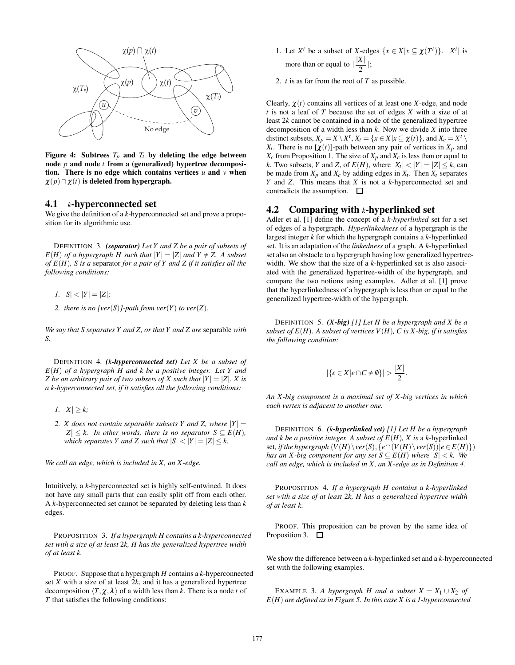

Figure 4: Subtrees  $T_p$  and  $T_t$  by deleting the edge between node *p* and node *t* from a (generalized) hypertree decomposition. There is no edge which contains vertices  $u$  and  $v$  when  $\chi(p) \cap \chi(t)$  is deleted from hypergraph.

#### 4.1 *k*-hyperconnected set

We give the definition of a *k*-hyperconnected set and prove a proposition for its algorithmic use.

DEFINITION 3. *(separator) Let Y and Z be a pair of subsets of*  $E(H)$  *of a hypergraph H such that*  $|Y| = |Z|$  *and*  $Y \neq Z$ . A subset *of E*(*H*)*, S is a* separator *for a pair of Y and Z if it satisfies all the following conditions:*

- *1.*  $|S| < |Y| = |Z|$ ;
- 2. there is no [ver(S)]-path from ver(Y) to ver(Z).

*We say that S separates Y and Z, or that Y and Z are* separable *with S.*

DEFINITION 4. *(k-hyperconnected set) Let X be a subset of E*(*H*) *of a hypergraph H and k be a positive integer. Let Y and Z* be an arbitrary pair of two subsets of *X* such that  $|Y| = |Z|$ *. X is a k-hyperconnected set, if it satisfies all the following conditions:*

- *1.*  $|X| \geq k$ ;
- *2. X does not contain separable subsets Y and Z, where*  $|Y| =$  $|Z|$  ≤ *k.* In other words, there is no separator  $S ⊆ E(H)$ , *which separates Y and Z such that*  $|S| < |Y| = |Z| \le k$ .

*We call an edge, which is included in X, an X -edge.*

Intuitively, a *k*-hyperconnected set is highly self-entwined. It does not have any small parts that can easily split off from each other. A *k*-hyperconnected set cannot be separated by deleting less than *k* edges.

PROPOSITION 3. *If a hypergraph H contains a k-hyperconnected set with a size of at least* 2*k, H has the generalized hypertree width of at least k.*

PROOF. Suppose that a hypergraph *H* contains a *k*-hyperconnected set *X* with a size of at least 2*k*, and it has a generalized hypertree decomposition  $\langle T, \chi, \lambda \rangle$  of a width less than *k*. There is a node *t* of *T* that satisfies the following conditions:

- 1. Let  $X^t$  be a subset of *X*-edges  $\{x \in X | x \subseteq \chi(T^t)\}\$ .  $|X^t|$  is more than or equal to  $\lceil \frac{|X|}{2} \rceil$ ;
- 2. *t* is as far from the root of *T* as possible.

Clearly,  $\chi(t)$  contains all vertices of at least one *X*-edge, and node *t* is not a leaf of *T* because the set of edges *X* with a size of at least 2*k* cannot be contained in a node of the generalized hypertree decomposition of a width less than *k*. Now we divide *X* into three distinct subsets,  $X_p = X \setminus X^t$ ,  $X_t = \{x \in X | x \subseteq \chi(t)\}$ , and  $X_c = X^t \setminus X^t$ *X<sub>t</sub>*. There is no  $[\chi(t)]$ -path between any pair of vertices in  $X_p$  and  $X_c$  from Proposition 1. The size of  $X_p$  and  $X_c$  is less than or equal to *k*. Two subsets, *Y* and *Z*, of  $E(H)$ , where  $|X_t| < |Y| = |Z| \le k$ , can be made from  $X_p$  and  $X_c$  by adding edges in  $X_t$ . Then  $X_t$  separates *Y* and *Z*. This means that *X* is not a *k*-hyperconnected set and contradicts the assumption.  $\Box$ 

#### 4.2 Comparing with *k*-hyperlinked set

Adler et al. [1] define the concept of a *k-hyperlinked* set for a set of edges of a hypergraph. *Hyperlinkedness* of a hypergraph is the largest integer *k* for which the hypergraph contains a *k*-hyperlinked set. It is an adaptation of the *linkedness* of a graph. A *k*-hyperlinked set also an obstacle to a hypergraph having low generalized hypertreewidth. We show that the size of a *k*-hyperlinked set is also associated with the generalized hypertree-width of the hypergraph, and compare the two notions using examples. Adler et al. [1] prove that the hyperlinkedness of a hypergraph is less than or equal to the generalized hypertree-width of the hypergraph.

DEFINITION 5. *(X-big) [1] Let H be a hypergraph and X be a subset of E*(*H*)*. A subset of vertices V*(*H*)*, C is X -big, if it satisfies the following condition:*

$$
|\{e \in X | e \cap C \neq \emptyset\}| > \frac{|X|}{2}.
$$

*An X -big component is a maximal set of X -big vertices in which each vertex is adjacent to another one.*

DEFINITION 6. *(k-hyperlinked set) [1] Let H be a hypergraph and k be a positive integer. A subset of*  $E(H)$ *, X is a <i>k*-hyperlinked set, if the hypergraph  $(V(H) \setminus ver(S), \{e \cap (V(H) \setminus ver(S)) | e \in E(H)\})$ *has an X-big component for any set*  $S \subseteq E(H)$  *where*  $|S| < k$ . We *call an edge, which is included in X, an X -edge as in Definition 4.*

PROPOSITION 4. *If a hypergraph H contains a k-hyperlinked set with a size of at least* 2*k, H has a generalized hypertree width of at least k.*

PROOF. This proposition can be proven by the same idea of Proposition 3. □

We show the difference between a *k*-hyperlinked set and a *k*-hyperconnected set with the following examples.

EXAMPLE 3. *A hypergraph H and a subset*  $X = X_1 \cup X_2$  *of E*(*H*) *are defined as in Figure 5. In this case X is a 1-hyperconnected*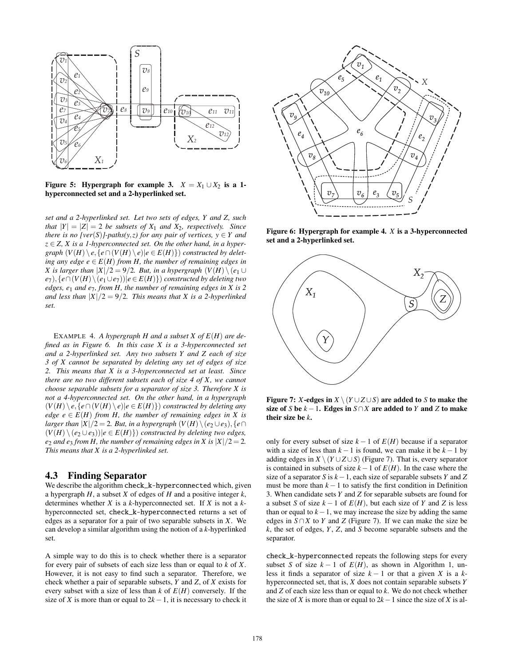

Figure 5: Hypergraph for example 3.  $X = X_1 \cup X_2$  is a 1hyperconnected set and a 2-hyperlinked set.

*set and a 2-hyperlinked set. Let two sets of edges, Y and Z, such that*  $|Y| = |Z| = 2$  *be subsets of*  $X_1$  *and*  $X_2$ *, respectively. Since there is no [ver*(*S*)*]-paths(y,z) for any pair of vertices, y*  $\in$  *Y and*  $z \in Z$ , X is a 1-hyperconnected set. On the other hand, in a hyper*graph*  $(V(H) \setminus e, \{e \cap (V(H) \setminus e) | e \in E(H)\})$  *constructed by deleting any edge*  $e \in E(H)$  *from H, the number of remaining edges in X* is larger than  $|X|/2 = 9/2$ . But, in a hypergraph  $(V(H) \setminus (e_1 \cup$ *e*<sub>7</sub>), { $e \cap (V(H) \setminus (e_1 ∪ e_7)) | e ∈ E(H)$ }) *constructed by deleting two edges, e*<sup>1</sup> *and e*7*, from H, the number of remaining edges in X is 2 and less than*  $|X|/2 = 9/2$ *. This means that X is a 2-hyperlinked set.*

EXAMPLE 4. *A hypergraph H and a subset X of E*(*H*) *are defined as in Figure 6. In this case X is a 3-hyperconnected set and a 2-hyperlinked set. Any two subsets Y and Z each of size 3 of X cannot be separated by deleting any set of edges of size 2. This means that X is a 3-hyperconnected set at least. Since there are no two different subsets each of size 4 of X, we cannot choose separable subsets for a separator of size 3. Therefore X is not a 4-hyperconnected set. On the other hand, in a hypergraph* (*V*(*H*) \ *e,*{*e*∩(*V*(*H*) \ *e*)|*e* ∈ *E*(*H*)}) *constructed by deleting any edge*  $e \in E(H)$  *from H*, the number of remaining edges in X is *larger than*  $|X|/2 = 2$ *. But, in a hypergraph*  $(V(H) \setminus (e_2 \cup e_3), \{e \cap$  $(V(H) \setminus (e_2 ∪ e_3))|e ∈ E(H)$ } *constructed by deleting two edges, e*<sub>2</sub> *and e*<sub>3</sub> *from H, the number of remaining edges in X is*  $|X|/2 = 2$ *. This means that X is a 2-hyperlinked set.*

#### 4.3 Finding Separator

We describe the algorithm check\_k-hyperconnected which, given a hypergraph *H*, a subset *X* of edges of *H* and a positive integer *k*, determines whether *X* is a *k*-hyperconnected set. If *X* is not a *k*hyperconnected set, check\_k-hyperconnected returns a set of edges as a separator for a pair of two separable subsets in *X*. We can develop a similar algorithm using the notion of a *k*-hyperlinked set.

A simple way to do this is to check whether there is a separator for every pair of subsets of each size less than or equal to *k* of *X*. However, it is not easy to find such a separator. Therefore, we check whether a pair of separable subsets, *Y* and *Z*, of *X* exists for every subset with a size of less than  $k$  of  $E(H)$  conversely. If the size of *X* is more than or equal to  $2k - 1$ , it is necessary to check it



Figure 6: Hypergraph for example 4. *X* is a 3-hyperconnected set and a 2-hyperlinked set.



Figure 7: *X*-edges in  $X \setminus (Y \cup Z \cup S)$  are added to *S* to make the size of *S* be  $k - 1$ . Edges in *S*∩*X* are added to *Y* and *Z* to make their size be *k*.

only for every subset of size  $k-1$  of  $E(H)$  because if a separator with a size of less than  $k - 1$  is found, we can make it be  $k - 1$  by adding edges in  $X \setminus (Y \cup Z \cup S)$  (Figure 7). That is, every separator is contained in subsets of size *k*−1 of *E*(*H*). In the case where the size of a separator *S* is *k*−1, each size of separable subsets *Y* and *Z* must be more than  $k - 1$  to satisfy the first condition in Definition 3. When candidate sets *Y* and *Z* for separable subsets are found for a subset *S* of size  $k - 1$  of  $E(H)$ , but each size of *Y* and *Z* is less than or equal to  $k-1$ , we may increase the size by adding the same edges in  $S \cap X$  to *Y* and *Z* (Figure 7). If we can make the size be *k*, the set of edges, *Y*, *Z*, and *S* become separable subsets and the separator.

check\_k-hyperconnected repeats the following steps for every subset *S* of size  $k - 1$  of  $E(H)$ , as shown in Algorithm 1, unless it finds a separator of size  $k - 1$  or that a given *X* is a  $k$ hyperconnected set, that is, *X* does not contain separable subsets *Y* and *Z* of each size less than or equal to *k*. We do not check whether the size of *X* is more than or equal to  $2k-1$  since the size of *X* is al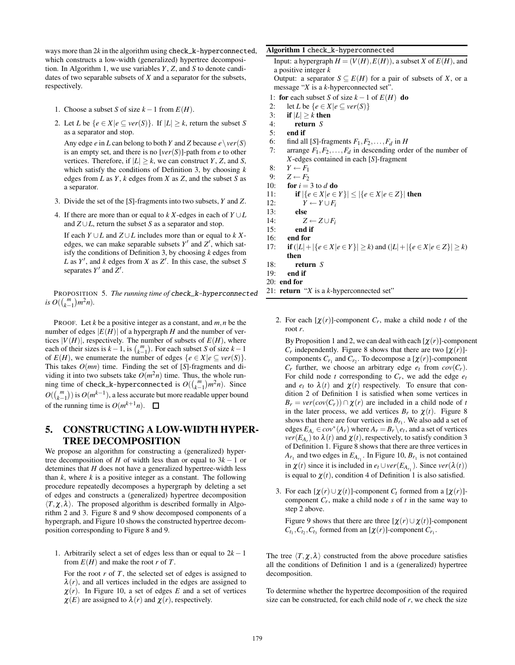ways more than 2*k* in the algorithm using check\_k-hyperconnected, which constructs a low-width (generalized) hypertree decomposition. In Algorithm 1, we use variables *Y* , *Z*, and *S* to denote candidates of two separable subsets of *X* and a separator for the subsets, respectively.

- 1. Choose a subset *S* of size  $k 1$  from  $E(H)$ .
- 2. Let *L* be  $\{e \in X | e \subseteq ver(S)\}\$ . If  $|L| \geq k$ , return the subset *S* as a separator and stop.

Any edge *e* in *L* can belong to both *Y* and *Z* because  $e \setminus ver(S)$ is an empty set, and there is no [*ver*(*S*)]-path from *e* to other vertices. Therefore, if  $|L| \geq k$ , we can construct *Y*, *Z*, and *S*, which satisfy the conditions of Definition 3, by choosing *k* edges from *L* as *Y*, *k* edges from *X* as *Z*, and the subset *S* as a separator.

- 3. Divide the set of the [*S*]-fragments into two subsets, *Y* and *Z*.
- 4. If there are more than or equal to  $k X$ -edges in each of  $Y \cup L$ and  $Z \cup L$ , return the subset *S* as a separator and stop.

If each *Y* ∪*L* and *Z* ∪*L* includes more than or equal to *k X*edges, we can make separable subsets  $Y'$  and  $Z'$ , which satisfy the conditions of Definition 3, by choosing *k* edges from  $L$  as  $Y'$ , and  $k$  edges from  $X$  as  $Z'$ . In this case, the subset  $S$ separates  $Y'$  and  $Z'$ .

PROPOSITION 5. *The running time of* check\_k-hyperconnected *is*  $O((\binom{m}{k-1})m^2n)$ *.* 

PROOF. Let *k* be a positive integer as a constant, and *m,n* be the number of edges  $|E(H)|$  of a hypergraph *H* and the number of vertices  $|V(H)|$ , respectively. The number of subsets of  $E(H)$ , where each of their sizes is  $k-1$ , is  $\binom{m}{k-1}$ . For each subset *S* of size  $k-1$ of  $E(H)$ , we enumerate the number of edges  $\{e \in X | e \subseteq ver(S)\}.$ This takes *O*(*mn*) time. Finding the set of [*S*]-fragments and dividing it into two subsets take  $O(m^2n)$  time. Thus, the whole running time of check\_k-hyperconnected is  $O({m \choose k-1}m^2n)$ . Since  $O(\binom{m}{k-1})$  is  $O(m^{k-1})$ , a less accurate but more readable upper bound of the running time is  $O(m^{k+1}n)$ .  $\Box$ 

# 5. CONSTRUCTING A LOW-WIDTH HYPER-TREE DECOMPOSITION

We propose an algorithm for constructing a (generalized) hypertree decomposition of *H* of width less than or equal to  $3k - 1$  or detemines that *H* does not have a generalized hypertree-width less than *k*, where *k* is a positive integer as a constant. The following procedure repeatedly decomposes a hypergraph by deleting a set of edges and constructs a (generalized) hypertree decomposition  $\langle T, \chi, \lambda \rangle$ . The proposed algorithm is described formally in Algorithm 2 and 3. Figure 8 and 9 show decomposed components of a hypergraph, and Figure 10 shows the constructed hypertree decomposition corresponding to Figure 8 and 9.

1. Arbitrarily select a set of edges less than or equal to 2*k* − 1 from  $E(H)$  and make the root *r* of *T*.

For the root *r* of *T*, the selected set of edges is assigned to  $\lambda(r)$ , and all vertices included in the edges are assigned to  $\chi(r)$ . In Figure 10, a set of edges *E* and a set of vertices  $\chi(E)$  are assigned to  $\lambda(r)$  and  $\chi(r)$ , respectively.

#### Algorithm 1 check\_k-hyperconnected

Input: a hypergraph  $H = (V(H), E(H))$ , a subset *X* of  $E(H)$ , and a positive integer *k* Output: a separator  $S \subseteq E(H)$  for a pair of subsets of *X*, or a message "*X* is a *k*-hyperconnected set".

- 1: for each subset *S* of size  $k 1$  of  $E(H)$  do
- 2: let *L* be  $\{e \in X | e \subseteq ver(S)\}$
- 3: if  $|L| \ge k$  then
- 4: return *S*
- 5: end if
- 6: find all [*S*]-fragments  $F_1, F_2, \ldots, F_d$  in *H*<br>7: arrange  $F_1, F_2, \ldots, F_d$  in descending order
- arrange  $F_1, F_2, \ldots, F_d$  in descending order of the number of *X*-edges contained in each [*S*]-fragment
- 8:  $Y \leftarrow F_1$ <br>9:  $Z \leftarrow F_2$
- $Z \leftarrow F_2$
- 10: **for**  $i = 3$  to  $d$  **do**
- 11: **if**  $|\{e \in X | e \in Y\}| \leq |\{e \in X | e \in Z\}|$  then
- 
- 12:  $Y \leftarrow Y \cup F_i$ <br>13: **else** else
- 14:  $Z \leftarrow Z \cup F_i$ <br>15: **end if**
- 15: end if
- 16: end for
- 17: **if**  $(|L| + |\{e \in X | e \in Y\}| \ge k)$  and  $(|L| + |\{e \in X | e \in Z\}| \ge k)$ then
- 18: return *S*
- 19: end if
- 20: end for
- 21: return "*X* is a *k*-hyperconnected set"
	- 2. For each  $[\chi(r)]$ -component  $C_r$ , make a child node *t* of the root *r*.

By Proposition 1 and 2, we can deal with each  $[\chi(r)]$ -component  $C_r$  independently. Figure 8 shows that there are two  $[\chi(r)]$ components  $C_{r_1}$  and  $C_{r_2}$ . To decompose a [ $\chi(r)$ ]-component  $C_r$  further, we choose an arbitrary edge  $e_t$  from  $cov(C_r)$ . For child node *t* corresponding to  $C_r$ , we add the edge  $e_t$ and  $e_t$  to  $\lambda(t)$  and  $\chi(t)$  respectively. To ensure that condition 2 of Definition 1 is satisfied when some vertices in  $B_r = \text{ver}(\text{cov}(C_r)) \cap \chi(r)$  are included in a child node of *t* in the later process, we add vertices  $B_r$  to  $\chi(t)$ . Figure 8 shows that there are four vertices in  $B_{r_1}$ . We also add a set of edges  $E_{A_r} \in cov^*(A_r)$  where  $A_r = B_r \setminus e_t$ , and a set of vertices  $ver(E_{A_r})$  to  $\lambda(t)$  and  $\chi(t)$ , respectively, to satisfy condition 3 of Definition 1. Figure 8 shows that there are three vertices in  $A_{r_1}$  and two edges in  $E_{A_{r_1}}$ . In Figure 10,  $B_{r_1}$  is not contained in  $\chi(t)$  since it is included in  $e_t \cup ver(E_{A_{r_1}})$ . Since  $ver(\lambda(t))$ is equal to  $\chi(t)$ , condition 4 of Definition 1 is also satisfied.

3. For each  $[\chi(r) \cup \chi(t)]$ -component  $C_t$  formed from a  $[\chi(r)]$ component *Cr*, make a child node *s* of *t* in the same way to step 2 above.

Figure 9 shows that there are three  $[\chi(r) \cup \chi(t)]$ -component  $C_{t_1}, C_{t_2}, C_{t_3}$  formed from an  $[\chi(r)]$ -component  $C_{r_1}$ .

The tree  $\langle T, \chi, \lambda \rangle$  constructed from the above procedure satisfies all the conditions of Definition 1 and is a (generalized) hypertree decomposition.

To determine whether the hypertree decomposition of the required size can be constructed, for each child node of *r*, we check the size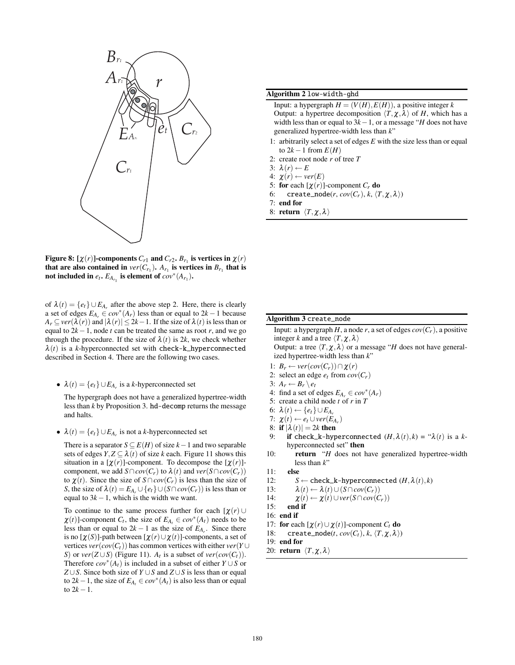

Figure 8:  $[\chi(r)]$ -components  $C_{r1}$  and  $C_{r2}$ .  $B_{r1}$  is vertices in  $\chi(r)$ that are also contained in  $ver(C_{r_1})$ .  $A_{r_1}$  is vertices in  $B_{r_1}$  that is not included in  $e_t$ .  $E_{A_{r_1}}$  is element of  $cov^*(A_{r_1})$ .

of  $\lambda(t) = \{e_t\} \cup E_{A_r}$  after the above step 2. Here, there is clearly a set of edges  $E_{A_r} \in cov^*(A_r)$  less than or equal to  $2k - 1$  because  $A_r \subseteq \text{ver}(\lambda(r))$  and  $|\lambda(r)| \leq 2k-1$ . If the size of  $\lambda(t)$  is less than or equal to 2*k*−1, node *t* can be treated the same as root *r*, and we go through the procedure. If the size of  $\lambda(t)$  is 2*k*, we check whether  $\lambda(t)$  is a *k*-hyperconnected set with check-k\_hyperconnected described in Section 4. There are the following two cases.

•  $\lambda(t) = \{e_t\} \cup E_{A_r}$  is a *k*-hyperconnected set

The hypergraph does not have a generalized hypertree-width less than *k* by Proposition 3. hd-decomp returns the message and halts.

•  $\lambda(t) = \{e_t\} \cup E_{A_r}$  is not a *k*-hyperconnected set

There is a separator  $S \subseteq E(H)$  of size  $k-1$  and two separable sets of edges  $Y, Z \subseteq \lambda(t)$  of size *k* each. Figure 11 shows this situation in a  $[\chi(r)]$ -component. To decompose the  $[\chi(r)]$ component, we add *S*∩*cov*(*C<sub>r</sub>*) to  $\lambda(t)$  and *ver*(*S*∩*cov*(*C<sub>r</sub>*)) to  $\chi(t)$ . Since the size of *S*∩*cov*(*C<sub>r</sub>*) is less than the size of *S*, the size of  $\lambda(t) = E_{A_r} \cup \{e_t\} \cup (S \cap cov(C_r))$  is less than or equal to  $3k - 1$ , which is the width we want.

To continue to the same process further for each  $[\chi(r) \cup$  $\chi(t)$ ]-component *C<sub>t</sub>*, the size of  $E_{A_t} \in cov^*(A_t)$  needs to be less than or equal to  $2k - 1$  as the size of  $E_{A_r}$ . Since there is no  $[\chi(S)]$ -path between  $[\chi(r) \cup \chi(t)]$ -components, a set of vertices  $ver(cov(C_t))$  has common vertices with either  $ver(Y \cup$ *S*) or *ver*( $Z \cup S$ ) (Figure 11). *A<sub>t</sub>* is a subset of *ver*( $cov(C_t)$ ). Therefore  $cov^*(A_t)$  is included in a subset of either  $Y \cup S$  or *Z* ∪*S*. Since both size of *Y* ∪*S* and *Z* ∪*S* is less than or equal to 2*k*−1, the size of  $E_{A_t}$  ∈  $cov^*(A_t)$  is also less than or equal to  $2k - 1$ .

#### Algorithm 2 low-width-ghd

Input: a hypergraph  $H = (V(H), E(H))$ , a positive integer *k* Output: a hypertree decomposition  $\langle T, \chi, \lambda \rangle$  of *H*, which has a width less than or equal to 3*k*−1, or a message "*H* does not have generalized hypertree-width less than *k*"

- 1: arbitrarily select a set of edges *E* with the size less than or equal to  $2k-1$  from  $E(H)$
- 2: create root node *r* of tree *T*
- 3:  $\lambda(r) \leftarrow E$
- 4:  $\chi(r) \leftarrow ver(E)$
- 5: for each  $[\chi(r)]$ -component  $C_r$  do
- 6: create\_node(*r*,  $cov(C_r)$ ,  $k$ ,  $\langle T, \chi, \lambda \rangle$ )
- 7: end for
- 8: return *T,*χ*,*λ

#### Algorithm 3 create\_node

Input: a hypergraph *H*, a node *r*, a set of edges  $cov(C_r)$ , a positive integer *k* and a tree  $\langle T, \chi, \lambda \rangle$ 

Output: a tree  $\langle T, \chi, \lambda \rangle$  or a message "*H* does not have generalized hypertree-width less than *k*"

- 1:  $B_r \leftarrow \text{ver}(\text{cov}(C_r)) \cap \chi(r)$
- 2: select an edge  $e_t$  from  $cov(C_r)$
- 3:  $A_r \leftarrow B_r \setminus e_t$
- 4: find a set of edges  $E_{A_r} \in cov^*(A_r)$
- 5: create a child node *t* of *r* in *T*
- 6:  $\lambda(t)$  ← { $e_t$ }∪ $E_{A_r}$
- 7:  $\chi(t) \leftarrow e_t \cup ver(E_{A_r})$
- 8: if  $|\lambda(t)| = 2k$  then
- 9: if check\_k-hyperconnected  $(H, \lambda(t), k) = " \lambda(t)$  is a *k*hyperconnected set" then
- 10: return "*H* does not have generalized hypertree-width less than *k*"
- 11: else
- 12: *S* ← check\_k-hyperconnected  $(H, \lambda(t), k)$
- 13:  $\lambda(t) \leftarrow \lambda(t) \cup (S \cap cov(C_r))$
- 14:  $\chi(t) \leftarrow \chi(t) \cup ver(S \cap cov(C_r))$
- 15: end if
- 16: end if
- 17: **for** each  $[\chi(r) \cup \chi(t)]$ -component  $C_t$  **do**
- 18: create\_node(*t*,  $cov(C_t)$ ,  $k$ ,  $\langle T, \chi, \lambda \rangle$ )
- 19: end for
- 20: **return**  $\langle T, \chi, \lambda \rangle$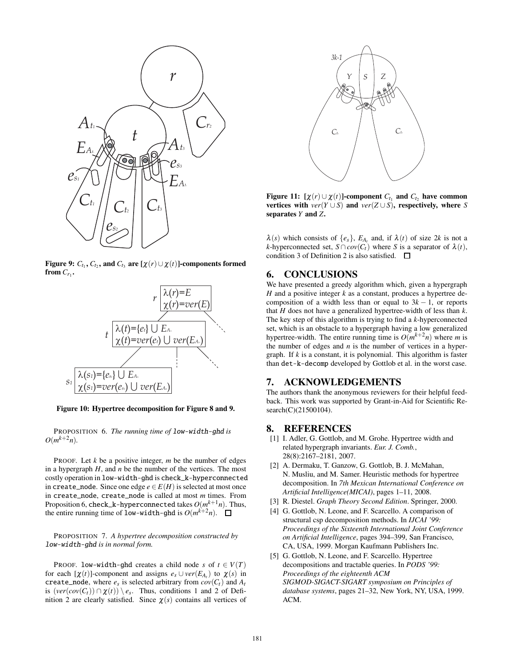

Figure 9:  $C_{t_1}$ ,  $C_{t_2}$ , and  $C_{t_3}$  are  $[\chi(r) \cup \chi(r)]$ -components formed from  $C_{r_1}$ .



Figure 10: Hypertree decomposition for Figure 8 and 9.

PROPOSITION 6. *The running time of* low-width-ghd *is*  $O(m^{k+2}n)$ .

PROOF. Let *k* be a positive integer, *m* be the number of edges in a hypergraph *H*, and *n* be the number of the vertices. The most costly operation in low-width-ghd is check\_k-hyperconnected in create\_node. Since one edge  $e \in E(H)$  is selected at most once in create\_node, create\_node is called at most *m* times. From Proposition 6, check\_k-hyperconnected takes *O*(*mk*+1*n*). Thus, the entire running time of low-width-ghd is  $O(m^{k+2}n)$ .

#### PROPOSITION 7. *A hypertree decomposition constructed by* low-width-ghd *is in normal form.*

PROOF. low-width-ghd creates a child node *s* of  $t \in V(T)$ for each  $[\chi(t)]$ -component and assigns  $e_s \cup ver(E_A)$  to  $\chi(s)$  in create\_node, where  $e_s$  is selected arbitrary from  $cov(C_t)$  and  $A_t$ is  $(\text{ver}(cov(C_t)) \cap \chi(t)) \setminus e_s$ . Thus, conditions 1 and 2 of Definition 2 are clearly satisfied. Since  $\chi(s)$  contains all vertices of



Figure 11:  $[\chi(r) \cup \chi(t)]$ -component  $C_{t_1}$  and  $C_{t_2}$  have common vertices with  $ver(Y \cup S)$  and  $ver(Z \cup S)$ , respectively, where *S* separates *Y* and *Z*.

 $\lambda(s)$  which consists of  $\{e_s\}$ ,  $E_{A_t}$  and, if  $\lambda(t)$  of size 2*k* is not a *k*-hyperconnected set,  $S \cap cov(C_t)$  where *S* is a separator of  $\lambda(t)$ , condition 3 of Definition 2 is also satisfied.  $\square$ 

#### 6. CONCLUSIONS

We have presented a greedy algorithm which, given a hypergraph *H* and a positive integer *k* as a constant, produces a hypertree decomposition of a width less than or equal to  $3k - 1$ , or reports that *H* does not have a generalized hypertree-width of less than *k*. The key step of this algorithm is trying to find a *k*-hyperconnected set, which is an obstacle to a hypergraph having a low generalized hypertree-width. The entire running time is  $O(m^{k+2}n)$  where *m* is the number of edges and *n* is the number of vertices in a hypergraph. If *k* is a constant, it is polynomial. This algorithm is faster than det-k-decomp developed by Gottlob et al. in the worst case.

#### 7. ACKNOWLEDGEMENTS

The authors thank the anonymous reviewers for their helpful feedback. This work was supported by Grant-in-Aid for Scientific Research(C)(21500104).

# 8. REFERENCES

- [1] I. Adler, G. Gottlob, and M. Grohe. Hypertree width and related hypergraph invariants. *Eur. J. Comb.*, 28(8):2167–2181, 2007.
- [2] A. Dermaku, T. Ganzow, G. Gottlob, B. J. McMahan, N. Musliu, and M. Samer. Heuristic methods for hypertree decomposition. In *7th Mexican International Conference on Artificial Intelligence(MICAI)*, pages 1–11, 2008.
- [3] R. Diestel. *Graph Theory Second Edition*. Springer, 2000.
- [4] G. Gottlob, N. Leone, and F. Scarcello. A comparison of structural csp decomposition methods. In *IJCAI '99: Proceedings of the Sixteenth International Joint Conference on Artificial Intelligence*, pages 394–399, San Francisco, CA, USA, 1999. Morgan Kaufmann Publishers Inc.
- [5] G. Gottlob, N. Leone, and F. Scarcello. Hypertree decompositions and tractable queries. In *PODS '99: Proceedings of the eighteenth ACM SIGMOD-SIGACT-SIGART symposium on Principles of database systems*, pages 21–32, New York, NY, USA, 1999. ACM.